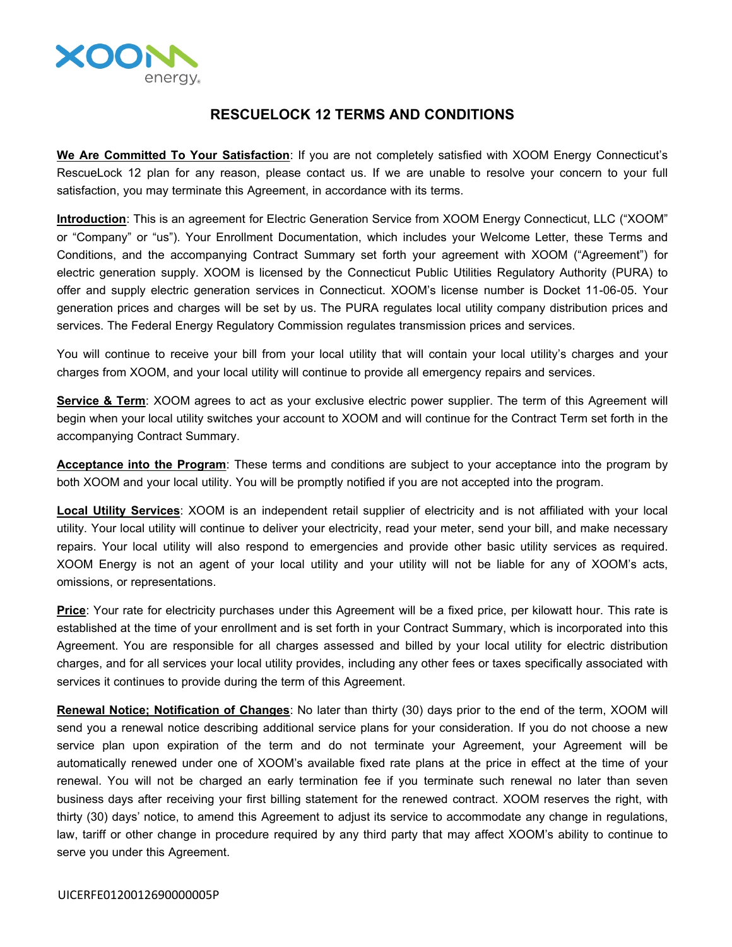

## **RESCUELOCK 12 TERMS AND CONDITIONS**

**We Are Committed To Your Satisfaction**: If you are not completely satisfied with XOOM Energy Connecticut's RescueLock 12 plan for any reason, please contact us. If we are unable to resolve your concern to your full satisfaction, you may terminate this Agreement, in accordance with its terms.

**Introduction**: This is an agreement for Electric Generation Service from XOOM Energy Connecticut, LLC ("XOOM" or "Company" or "us"). Your Enrollment Documentation, which includes your Welcome Letter, these Terms and Conditions, and the accompanying Contract Summary set forth your agreement with XOOM ("Agreement") for electric generation supply. XOOM is licensed by the Connecticut Public Utilities Regulatory Authority (PURA) to offer and supply electric generation services in Connecticut. XOOM's license number is Docket 11-06-05. Your generation prices and charges will be set by us. The PURA regulates local utility company distribution prices and services. The Federal Energy Regulatory Commission regulates transmission prices and services.

You will continue to receive your bill from your local utility that will contain your local utility's charges and your charges from XOOM, and your local utility will continue to provide all emergency repairs and services.

**Service & Term**: XOOM agrees to act as your exclusive electric power supplier. The term of this Agreement will begin when your local utility switches your account to XOOM and will continue for the Contract Term set forth in the accompanying Contract Summary.

**Acceptance into the Program**: These terms and conditions are subject to your acceptance into the program by both XOOM and your local utility. You will be promptly notified if you are not accepted into the program.

**Local Utility Services**: XOOM is an independent retail supplier of electricity and is not affiliated with your local utility. Your local utility will continue to deliver your electricity, read your meter, send your bill, and make necessary repairs. Your local utility will also respond to emergencies and provide other basic utility services as required. XOOM Energy is not an agent of your local utility and your utility will not be liable for any of XOOM's acts, omissions, or representations.

**Price**: Your rate for electricity purchases under this Agreement will be a fixed price, per kilowatt hour. This rate is established at the time of your enrollment and is set forth in your Contract Summary, which is incorporated into this Agreement. You are responsible for all charges assessed and billed by your local utility for electric distribution charges, and for all services your local utility provides, including any other fees or taxes specifically associated with services it continues to provide during the term of this Agreement.

**Renewal Notice; Notification of Changes**: No later than thirty (30) days prior to the end of the term, XOOM will send you a renewal notice describing additional service plans for your consideration. If you do not choose a new service plan upon expiration of the term and do not terminate your Agreement, your Agreement will be automatically renewed under one of XOOM's available fixed rate plans at the price in effect at the time of your renewal. You will not be charged an early termination fee if you terminate such renewal no later than seven business days after receiving your first billing statement for the renewed contract. XOOM reserves the right, with thirty (30) days' notice, to amend this Agreement to adjust its service to accommodate any change in regulations, law, tariff or other change in procedure required by any third party that may affect XOOM's ability to continue to serve you under this Agreement.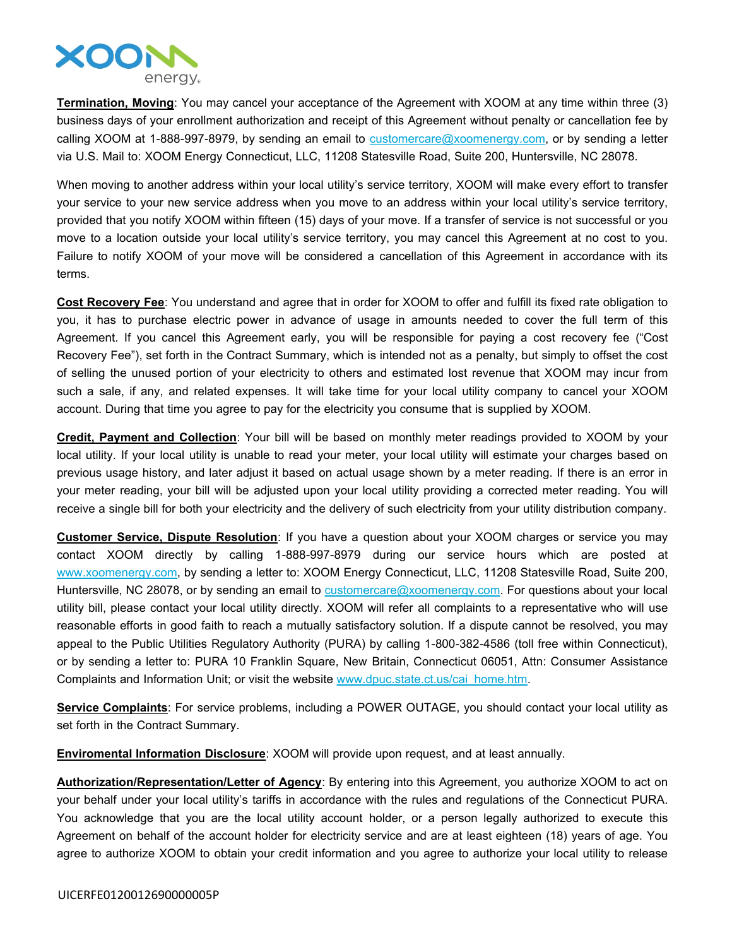

**Termination, Moving**: You may cancel your acceptance of the Agreement with XOOM at any time within three (3) business days of your enrollment authorization and receipt of this Agreement without penalty or cancellation fee by calling XOOM at 1-888-997-8979, by sending an email to  $\frac{customer}{c}$  customercare  $@x$  oomenergy.com, or by sending a letter via U.S. Mail to: XOOM Energy Connecticut, LLC, 11208 Statesville Road, Suite 200, Huntersville, NC 28078.

When moving to another address within your local utility's service territory, XOOM will make every effort to transfer your service to your new service address when you move to an address within your local utility's service territory, provided that you notify XOOM within fifteen (15) days of your move. If a transfer of service is not successful or you move to a location outside your local utility's service territory, you may cancel this Agreement at no cost to you. Failure to notify XOOM of your move will be considered a cancellation of this Agreement in accordance with its terms.

**Cost Recovery Fee**: You understand and agree that in order for XOOM to offer and fulfill its fixed rate obligation to you, it has to purchase electric power in advance of usage in amounts needed to cover the full term of this Agreement. If you cancel this Agreement early, you will be responsible for paying a cost recovery fee ("Cost Recovery Fee"), set forth in the Contract Summary, which is intended not as a penalty, but simply to offset the cost of selling the unused portion of your electricity to others and estimated lost revenue that XOOM may incur from such a sale, if any, and related expenses. It will take time for your local utility company to cancel your XOOM account. During that time you agree to pay for the electricity you consume that is supplied by XOOM.

**Credit, Payment and Collection**: Your bill will be based on monthly meter readings provided to XOOM by your local utility. If your local utility is unable to read your meter, your local utility will estimate your charges based on previous usage history, and later adjust it based on actual usage shown by a meter reading. If there is an error in your meter reading, your bill will be adjusted upon your local utility providing a corrected meter reading. You will receive a single bill for both your electricity and the delivery of such electricity from your utility distribution company.

**Customer Service, Dispute Resolution**: If you have a question about your XOOM charges or service you may contact XOOM directly by calling 1-888-997-8979 during our service hours which are posted at [www.xoomenergy.com](http://www.xoomenergy.com), by sending a letter to: XOOM Energy Connecticut, LLC, 11208 Statesville Road, Suite 200, Huntersville, NC 28078, or by sending an email to [customercare@xoomenergy.com.](mailto:customercare@xoomenergy.com) For questions about your local utility bill, please contact your local utility directly. XOOM will refer all complaints to a representative who will use reasonable efforts in good faith to reach a mutually satisfactory solution. If a dispute cannot be resolved, you may appeal to the Public Utilities Regulatory Authority (PURA) by calling 1-800-382-4586 (toll free within Connecticut), or by sending a letter to: PURA 10 Franklin Square, New Britain, Connecticut 06051, Attn: Consumer Assistance Complaints and Information Unit; or visit the website [www.dpuc.state.ct.us/cai\\_home.htm](http://www.dpuc.state.ct.us/cai_home.htm).

**Service Complaints**: For service problems, including a POWER OUTAGE, you should contact your local utility as set forth in the Contract Summary.

**Enviromental Information Disclosure**: XOOM will provide upon request, and at least annually.

**Authorization/Representation/Letter of Agency**: By entering into this Agreement, you authorize XOOM to act on your behalf under your local utility's tariffs in accordance with the rules and regulations of the Connecticut PURA. You acknowledge that you are the local utility account holder, or a person legally authorized to execute this Agreement on behalf of the account holder for electricity service and are at least eighteen (18) years of age. You agree to authorize XOOM to obtain your credit information and you agree to authorize your local utility to release